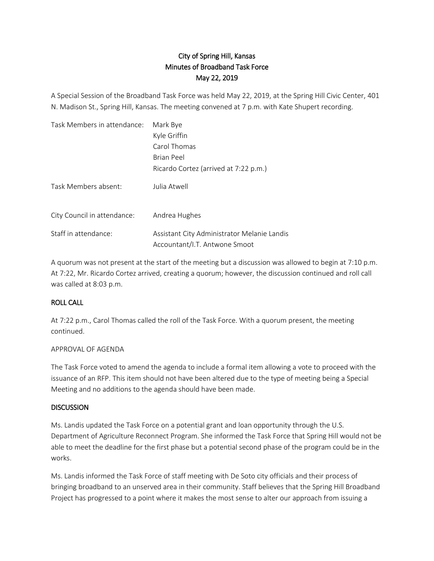# City of Spring Hill, Kansas Minutes of Broadband Task Force May 22, 2019

A Special Session of the Broadband Task Force was held May 22, 2019, at the Spring Hill Civic Center, 401 N. Madison St., Spring Hill, Kansas. The meeting convened at 7 p.m. with Kate Shupert recording.

| Task Members in attendance: | Mark Bye                                                                     |
|-----------------------------|------------------------------------------------------------------------------|
|                             | Kyle Griffin                                                                 |
|                             | Carol Thomas                                                                 |
|                             | <b>Brian Peel</b>                                                            |
|                             | Ricardo Cortez (arrived at 7:22 p.m.)                                        |
| Task Members absent:        | Julia Atwell                                                                 |
| City Council in attendance: | Andrea Hughes                                                                |
| Staff in attendance:        | Assistant City Administrator Melanie Landis<br>Accountant/I.T. Antwone Smoot |

A quorum was not present at the start of the meeting but a discussion was allowed to begin at 7:10 p.m. At 7:22, Mr. Ricardo Cortez arrived, creating a quorum; however, the discussion continued and roll call was called at 8:03 p.m.

# ROLL CALL

At 7:22 p.m., Carol Thomas called the roll of the Task Force. With a quorum present, the meeting continued.

#### APPROVAL OF AGENDA

The Task Force voted to amend the agenda to include a formal item allowing a vote to proceed with the issuance of an RFP. This item should not have been altered due to the type of meeting being a Special Meeting and no additions to the agenda should have been made.

## **DISCUSSION**

Ms. Landis updated the Task Force on a potential grant and loan opportunity through the U.S. Department of Agriculture Reconnect Program. She informed the Task Force that Spring Hill would not be able to meet the deadline for the first phase but a potential second phase of the program could be in the works.

Ms. Landis informed the Task Force of staff meeting with De Soto city officials and their process of bringing broadband to an unserved area in their community. Staff believes that the Spring Hill Broadband Project has progressed to a point where it makes the most sense to alter our approach from issuing a